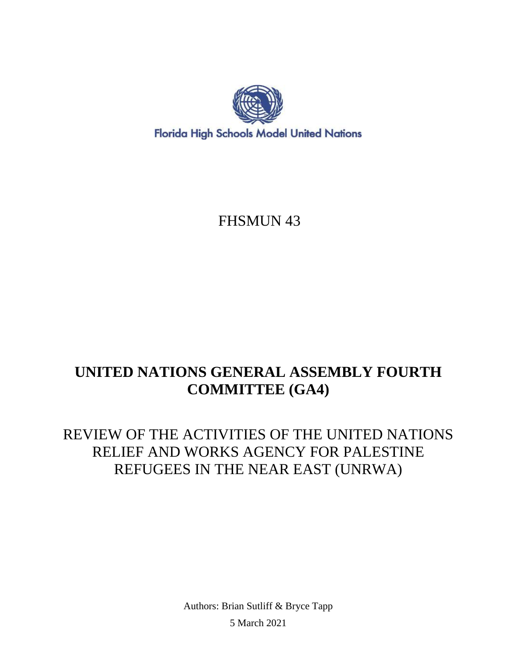

## FHSMUN 43

# **UNITED NATIONS GENERAL ASSEMBLY FOURTH COMMITTEE (GA4)**

## REVIEW OF THE ACTIVITIES OF THE UNITED NATIONS RELIEF AND WORKS AGENCY FOR PALESTINE REFUGEES IN THE NEAR EAST (UNRWA)

Authors: Brian Sutliff & Bryce Tapp 5 March 2021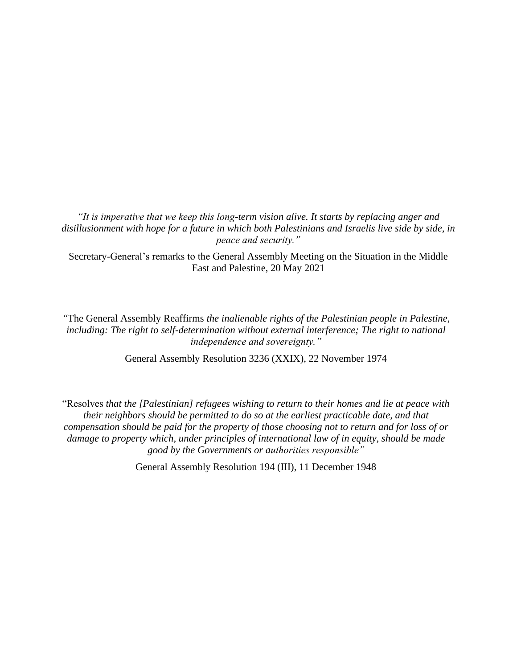*"It is imperative that we keep this long-term vision alive. It starts by replacing anger and disillusionment with hope for a future in which both Palestinians and Israelis live side by side, in peace and security."*

Secretary-General's remarks to the General Assembly Meeting on the Situation in the Middle East and Palestine, 20 May 2021

*"*The General Assembly Reaffirms *the inalienable rights of the Palestinian people in Palestine, including: The right to self-determination without external interference; The right to national independence and sovereignty."*

General Assembly Resolution 3236 (XXIX), 22 November 1974

"Resolves *that the [Palestinian] refugees wishing to return to their homes and lie at peace with their neighbors should be permitted to do so at the earliest practicable date, and that compensation should be paid for the property of those choosing not to return and for loss of or damage to property which, under principles of international law of in equity, should be made good by the Governments or authorities responsible"*

General Assembly Resolution 194 (III), 11 December 1948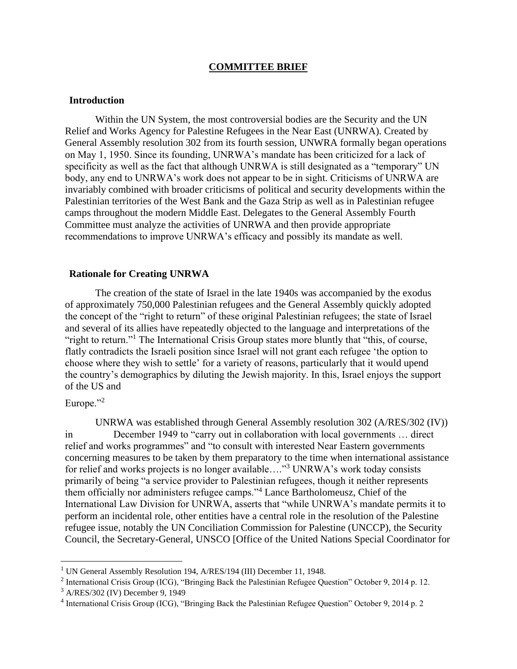#### **COMMITTEE BRIEF**

#### **Introduction**

Within the UN System, the most controversial bodies are the Security and the UN Relief and Works Agency for Palestine Refugees in the Near East (UNRWA). Created by General Assembly resolution 302 from its fourth session, UNWRA formally began operations on May 1, 1950. Since its founding, UNRWA's mandate has been criticized for a lack of specificity as well as the fact that although UNRWA is still designated as a "temporary" UN body, any end to UNRWA's work does not appear to be in sight. Criticisms of UNRWA are invariably combined with broader criticisms of political and security developments within the Palestinian territories of the West Bank and the Gaza Strip as well as in Palestinian refugee camps throughout the modern Middle East. Delegates to the General Assembly Fourth Committee must analyze the activities of UNRWA and then provide appropriate recommendations to improve UNRWA's efficacy and possibly its mandate as well.

#### **Rationale for Creating UNRWA**

The creation of the state of Israel in the late 1940s was accompanied by the exodus of approximately 750,000 Palestinian refugees and the General Assembly quickly adopted the concept of the "right to return" of these original Palestinian refugees; the state of Israel and several of its allies have repeatedly objected to the language and interpretations of the "right to return."<sup>1</sup> The International Crisis Group states more bluntly that "this, of course, flatly contradicts the Israeli position since Israel will not grant each refugee 'the option to choose where they wish to settle' for a variety of reasons, particularly that it would upend the country's demographics by diluting the Jewish majority. In this, Israel enjoys the support of the US and

### Europe."<sup>2</sup>

UNRWA was established through General Assembly resolution 302 (A/RES/302 (IV)) in December 1949 to "carry out in collaboration with local governments … direct relief and works programmes" and "to consult with interested Near Eastern governments concerning measures to be taken by them preparatory to the time when international assistance for relief and works projects is no longer available...."<sup>3</sup> UNRWA's work today consists primarily of being "a service provider to Palestinian refugees, though it neither represents them officially nor administers refugee camps."<sup>4</sup> Lance Bartholomeusz, Chief of the International Law Division for UNRWA, asserts that "while UNRWA's mandate permits it to perform an incidental role, other entities have a central role in the resolution of the Palestine refugee issue, notably the UN Conciliation Commission for Palestine (UNCCP), the Security Council, the Secretary-General, UNSCO [Office of the United Nations Special Coordinator for

<sup>&</sup>lt;sup>1</sup> UN General Assembly Resolution 194, A/RES/194 (III) December 11, 1948.

<sup>&</sup>lt;sup>2</sup> International Crisis Group (ICG), "Bringing Back the Palestinian Refugee Question" October 9, 2014 p. 12.

<sup>3</sup> A/RES/302 (IV) December 9, 1949

<sup>&</sup>lt;sup>4</sup> International Crisis Group (ICG), "Bringing Back the Palestinian Refugee Question" October 9, 2014 p. 2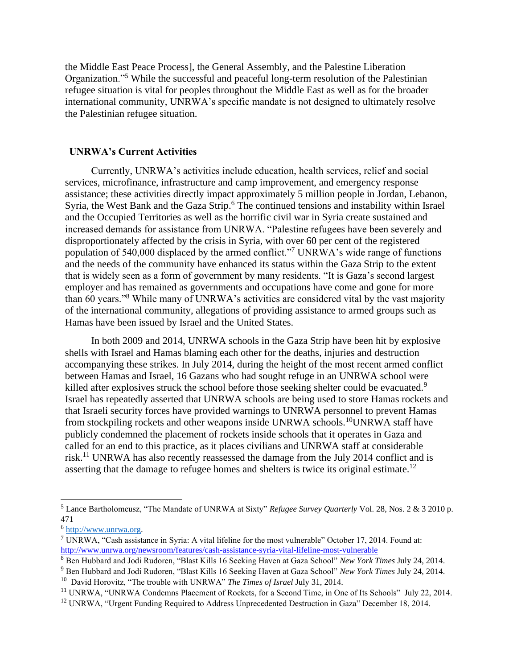the Middle East Peace Process], the General Assembly, and the Palestine Liberation Organization."<sup>5</sup> While the successful and peaceful long-term resolution of the Palestinian refugee situation is vital for peoples throughout the Middle East as well as for the broader international community, UNRWA's specific mandate is not designed to ultimately resolve the Palestinian refugee situation.

#### **UNRWA's Current Activities**

Currently, UNRWA's activities include education, health services, relief and social services, microfinance, infrastructure and camp improvement, and emergency response assistance; these activities directly impact approximately 5 million people in Jordan, Lebanon, Syria, the West Bank and the Gaza Strip.<sup>6</sup> The continued tensions and instability within Israel and the Occupied Territories as well as the horrific civil war in Syria create sustained and increased demands for assistance from UNRWA. "Palestine refugees have been severely and disproportionately affected by the crisis in Syria, with over 60 per cent of the registered population of 540,000 displaced by the armed conflict."<sup>7</sup> UNRWA's wide range of functions and the needs of the community have enhanced its status within the Gaza Strip to the extent that is widely seen as a form of government by many residents. "It is Gaza's second largest employer and has remained as governments and occupations have come and gone for more than 60 years."<sup>8</sup> While many of UNRWA's activities are considered vital by the vast majority of the international community, allegations of providing assistance to armed groups such as Hamas have been issued by Israel and the United States.

In both 2009 and 2014, UNRWA schools in the Gaza Strip have been hit by explosive shells with Israel and Hamas blaming each other for the deaths, injuries and destruction accompanying these strikes. In July 2014, during the height of the most recent armed conflict between Hamas and Israel, 16 Gazans who had sought refuge in an UNRWA school were killed after explosives struck the school before those seeking shelter could be evacuated.<sup>9</sup> Israel has repeatedly asserted that UNRWA schools are being used to store Hamas rockets and that Israeli security forces have provided warnings to UNRWA personnel to prevent Hamas from stockpiling rockets and other weapons inside UNRWA schools.<sup>10</sup>UNRWA staff have publicly condemned the placement of rockets inside schools that it operates in Gaza and called for an end to this practice, as it places civilians and UNRWA staff at considerable risk.<sup>11</sup> UNRWA has also recently reassessed the damage from the July 2014 conflict and is asserting that the damage to refugee homes and shelters is twice its original estimate.<sup>12</sup>

<sup>5</sup> Lance Bartholomeusz, "The Mandate of UNRWA at Sixty" *Refugee Survey Quarterly* Vol. 28, Nos. 2 & 3 2010 p. 471

<sup>&</sup>lt;sup>6</sup> [http://www.unrwa.org.](http://www.unrwa.org/)

<sup>7</sup> UNRWA, "Cash assistance in Syria: A vital lifeline for the most vulnerable" October 17, 2014. Found at: <http://www.unrwa.org/newsroom/features/cash-assistance-syria-vital-lifeline-most-vulnerable>

<sup>8</sup> Ben Hubbard and Jodi Rudoren, "Blast Kills 16 Seeking Haven at Gaza School" *New York Times* July 24, 2014.

<sup>9</sup> Ben Hubbard and Jodi Rudoren, "Blast Kills 16 Seeking Haven at Gaza School" *New York Times* July 24, 2014.

<sup>&</sup>lt;sup>10</sup> David Horovitz, "The trouble with UNRWA" *The Times of Israel July 31*, 2014.

<sup>&</sup>lt;sup>11</sup> UNRWA, "UNRWA Condemns Placement of Rockets, for a Second Time, in One of Its Schools" July 22, 2014.

<sup>&</sup>lt;sup>12</sup> UNRWA, "Urgent Funding Required to Address Unprecedented Destruction in Gaza" December 18, 2014.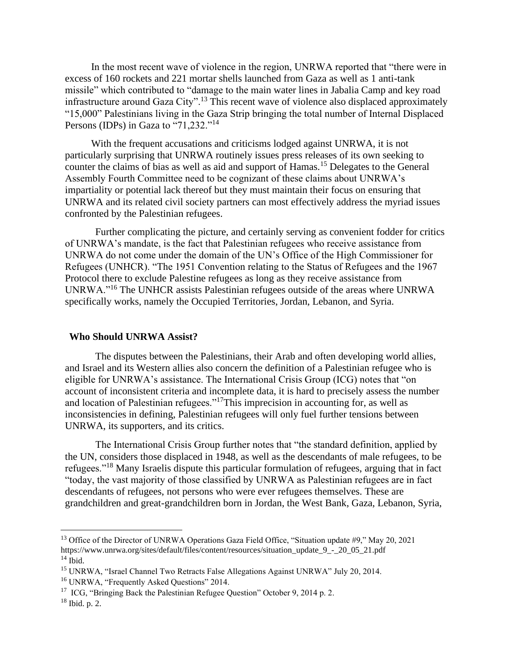In the most recent wave of violence in the region, UNRWA reported that "there were in excess of 160 rockets and 221 mortar shells launched from Gaza as well as 1 anti-tank missile" which contributed to "damage to the main water lines in Jabalia Camp and key road infrastructure around Gaza City".<sup>13</sup> This recent wave of violence also displaced approximately "15,000" Palestinians living in the Gaza Strip bringing the total number of Internal Displaced Persons (IDPs) in Gaza to "71,232."<sup>14</sup>

With the frequent accusations and criticisms lodged against UNRWA, it is not particularly surprising that UNRWA routinely issues press releases of its own seeking to counter the claims of bias as well as aid and support of Hamas.<sup>15</sup> Delegates to the General Assembly Fourth Committee need to be cognizant of these claims about UNRWA's impartiality or potential lack thereof but they must maintain their focus on ensuring that UNRWA and its related civil society partners can most effectively address the myriad issues confronted by the Palestinian refugees.

Further complicating the picture, and certainly serving as convenient fodder for critics of UNRWA's mandate, is the fact that Palestinian refugees who receive assistance from UNRWA do not come under the domain of the UN's Office of the High Commissioner for Refugees (UNHCR). "The 1951 Convention relating to the Status of Refugees and the 1967 Protocol there to exclude Palestine refugees as long as they receive assistance from UNRWA."<sup>16</sup> The UNHCR assists Palestinian refugees outside of the areas where UNRWA specifically works, namely the Occupied Territories, Jordan, Lebanon, and Syria.

#### **Who Should UNRWA Assist?**

The disputes between the Palestinians, their Arab and often developing world allies, and Israel and its Western allies also concern the definition of a Palestinian refugee who is eligible for UNRWA's assistance. The International Crisis Group (ICG) notes that "on account of inconsistent criteria and incomplete data, it is hard to precisely assess the number and location of Palestinian refugees."<sup>17</sup>This imprecision in accounting for, as well as inconsistencies in defining, Palestinian refugees will only fuel further tensions between UNRWA, its supporters, and its critics.

The International Crisis Group further notes that "the standard definition, applied by the UN, considers those displaced in 1948, as well as the descendants of male refugees, to be refugees."<sup>18</sup> Many Israelis dispute this particular formulation of refugees, arguing that in fact "today, the vast majority of those classified by UNRWA as Palestinian refugees are in fact descendants of refugees, not persons who were ever refugees themselves. These are grandchildren and great-grandchildren born in Jordan, the West Bank, Gaza, Lebanon, Syria,

<sup>&</sup>lt;sup>13</sup> Office of the Director of UNRWA Operations Gaza Field Office, "Situation update #9," May 20, 2021 https://www.unrwa.org/sites/default/files/content/resources/situation\_update\_9\_-\_20\_05\_21.pdf  $14$  Ibid.

<sup>15</sup> UNRWA, "Israel Channel Two Retracts False Allegations Against UNRWA" July 20, 2014.

<sup>16</sup> UNRWA, "Frequently Asked Questions" 2014.

<sup>&</sup>lt;sup>17</sup> ICG, "Bringing Back the Palestinian Refugee Question" October 9, 2014 p. 2.

 $18$  Ibid. p. 2.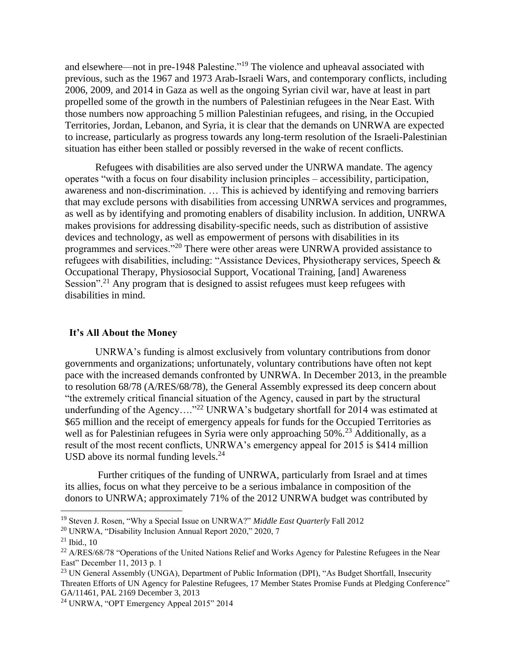and elsewhere—not in pre-1948 Palestine."<sup>19</sup> The violence and upheaval associated with previous, such as the 1967 and 1973 Arab-Israeli Wars, and contemporary conflicts, including 2006, 2009, and 2014 in Gaza as well as the ongoing Syrian civil war, have at least in part propelled some of the growth in the numbers of Palestinian refugees in the Near East. With those numbers now approaching 5 million Palestinian refugees, and rising, in the Occupied Territories, Jordan, Lebanon, and Syria, it is clear that the demands on UNRWA are expected to increase, particularly as progress towards any long-term resolution of the Israeli-Palestinian situation has either been stalled or possibly reversed in the wake of recent conflicts.

Refugees with disabilities are also served under the UNRWA mandate. The agency operates "with a focus on four disability inclusion principles – accessibility, participation, awareness and non-discrimination. … This is achieved by identifying and removing barriers that may exclude persons with disabilities from accessing UNRWA services and programmes, as well as by identifying and promoting enablers of disability inclusion. In addition, UNRWA makes provisions for addressing disability-specific needs, such as distribution of assistive devices and technology, as well as empowerment of persons with disabilities in its programmes and services."<sup>20</sup> There were other areas were UNRWA provided assistance to refugees with disabilities, including: "Assistance Devices, Physiotherapy services, Speech & Occupational Therapy, Physiosocial Support, Vocational Training, [and] Awareness Session".<sup>21</sup> Any program that is designed to assist refugees must keep refugees with disabilities in mind.

#### **It's All About the Money**

UNRWA's funding is almost exclusively from voluntary contributions from donor governments and organizations; unfortunately, voluntary contributions have often not kept pace with the increased demands confronted by UNRWA. In December 2013, in the preamble to resolution 68/78 (A/RES/68/78), the General Assembly expressed its deep concern about "the extremely critical financial situation of the Agency, caused in part by the structural underfunding of the Agency...."<sup>22</sup> UNRWA's budgetary shortfall for 2014 was estimated at \$65 million and the receipt of emergency appeals for funds for the Occupied Territories as well as for Palestinian refugees in Syria were only approaching 50%.<sup>23</sup> Additionally, as a result of the most recent conflicts, UNRWA's emergency appeal for 2015 is \$414 million USD above its normal funding levels. $^{24}$ 

Further critiques of the funding of UNRWA, particularly from Israel and at times its allies, focus on what they perceive to be a serious imbalance in composition of the donors to UNRWA; approximately 71% of the 2012 UNRWA budget was contributed by

<sup>19</sup> Steven J. Rosen, "Why a Special Issue on UNRWA?" *Middle East Quarterly* Fall 2012

<sup>20</sup> UNRWA, "Disability Inclusion Annual Report 2020," 2020, 7

 $21$  Ibid., 10

<sup>&</sup>lt;sup>22</sup> A/RES/68/78 "Operations of the United Nations Relief and Works Agency for Palestine Refugees in the Near East" December 11, 2013 p. 1

<sup>&</sup>lt;sup>23</sup> UN General Assembly (UNGA), Department of Public Information (DPI), "As Budget Shortfall, Insecurity Threaten Efforts of UN Agency for Palestine Refugees, 17 Member States Promise Funds at Pledging Conference" GA/11461, PAL 2169 December 3, 2013

<sup>&</sup>lt;sup>24</sup> UNRWA, "OPT Emergency Appeal  $2015$ "  $2014$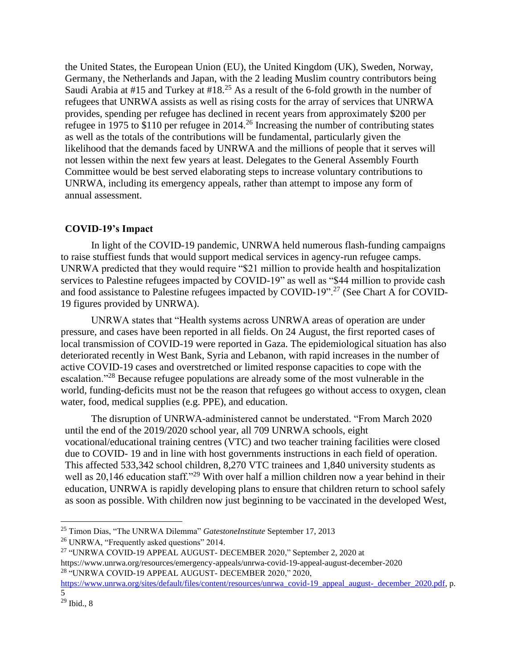the United States, the European Union (EU), the United Kingdom (UK), Sweden, Norway, Germany, the Netherlands and Japan, with the 2 leading Muslim country contributors being Saudi Arabia at #15 and Turkey at #18.<sup>25</sup> As a result of the 6-fold growth in the number of refugees that UNRWA assists as well as rising costs for the array of services that UNRWA provides, spending per refugee has declined in recent years from approximately \$200 per refugee in 1975 to \$110 per refugee in 2014.<sup>26</sup> Increasing the number of contributing states as well as the totals of the contributions will be fundamental, particularly given the likelihood that the demands faced by UNRWA and the millions of people that it serves will not lessen within the next few years at least. Delegates to the General Assembly Fourth Committee would be best served elaborating steps to increase voluntary contributions to UNRWA, including its emergency appeals, rather than attempt to impose any form of annual assessment.

#### **COVID-19's Impact**

In light of the COVID-19 pandemic, UNRWA held numerous flash-funding campaigns to raise stuffiest funds that would support medical services in agency-run refugee camps. UNRWA predicted that they would require "\$21 million to provide health and hospitalization services to Palestine refugees impacted by COVID-19" as well as "\$44 million to provide cash and food assistance to Palestine refugees impacted by COVID-19".<sup>27</sup> (See Chart A for COVID-19 figures provided by UNRWA).

UNRWA states that "Health systems across UNRWA areas of operation are under pressure, and cases have been reported in all fields. On 24 August, the first reported cases of local transmission of COVID-19 were reported in Gaza. The epidemiological situation has also deteriorated recently in West Bank, Syria and Lebanon, with rapid increases in the number of active COVID-19 cases and overstretched or limited response capacities to cope with the escalation."<sup>28</sup> Because refugee populations are already some of the most vulnerable in the world, funding-deficits must not be the reason that refugees go without access to oxygen, clean water, food, medical supplies (e.g. PPE), and education.

The disruption of UNRWA-administered cannot be understated. "From March 2020 until the end of the 2019/2020 school year, all 709 UNRWA schools, eight vocational/educational training centres (VTC) and two teacher training facilities were closed due to COVID- 19 and in line with host governments instructions in each field of operation. This affected 533,342 school children, 8,270 VTC trainees and 1,840 university students as well as 20,146 education staff."<sup>29</sup> With over half a million children now a year behind in their education, UNRWA is rapidly developing plans to ensure that children return to school safely as soon as possible. With children now just beginning to be vaccinated in the developed West,

<sup>25</sup> Timon Dias, "The UNRWA Dilemma" *GatestoneInstitute* September 17, 2013

<sup>&</sup>lt;sup>26</sup> UNRWA, "Frequently asked questions" 2014.

<sup>27</sup> "UNRWA COVID-19 APPEAL AUGUST- DECEMBER 2020," September 2, 2020 at https://www.unrwa.org/resources/emergency-appeals/unrwa-covid-19-appeal-august-december-2020 <sup>28</sup> "UNRWA COVID-19 APPEAL AUGUST- DECEMBER 2020," 2020,

[https://www.unrwa.org/sites/default/files/content/resources/unrwa\\_covid-19\\_appeal\\_august-\\_december\\_2020.pdf,](https://www.unrwa.org/sites/default/files/content/resources/unrwa_covid-19_appeal_august-_december_2020.pdf) p. 5

 $29$  Ibid., 8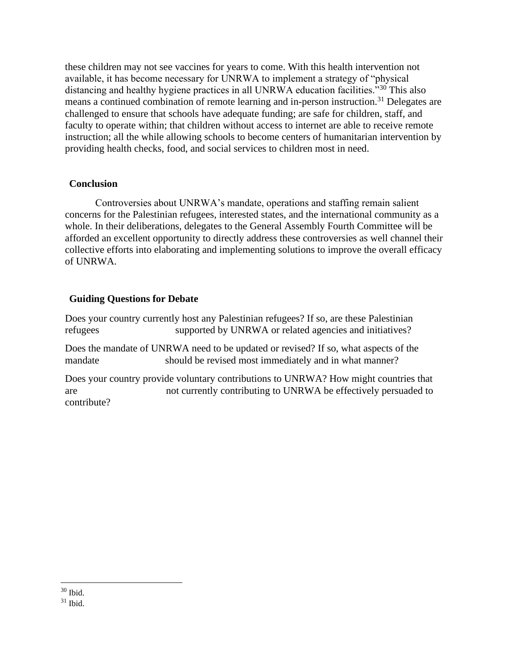these children may not see vaccines for years to come. With this health intervention not available, it has become necessary for UNRWA to implement a strategy of "physical distancing and healthy hygiene practices in all UNRWA education facilities."<sup>30</sup> This also means a continued combination of remote learning and in-person instruction.<sup>31</sup> Delegates are challenged to ensure that schools have adequate funding; are safe for children, staff, and faculty to operate within; that children without access to internet are able to receive remote instruction; all the while allowing schools to become centers of humanitarian intervention by providing health checks, food, and social services to children most in need.

## **Conclusion**

Controversies about UNRWA's mandate, operations and staffing remain salient concerns for the Palestinian refugees, interested states, and the international community as a whole. In their deliberations, delegates to the General Assembly Fourth Committee will be afforded an excellent opportunity to directly address these controversies as well channel their collective efforts into elaborating and implementing solutions to improve the overall efficacy of UNRWA.

## **Guiding Questions for Debate**

Does your country currently host any Palestinian refugees? If so, are these Palestinian refugees supported by UNRWA or related agencies and initiatives?

Does the mandate of UNRWA need to be updated or revised? If so, what aspects of the mandate should be revised most immediately and in what manner?

Does your country provide voluntary contributions to UNRWA? How might countries that are not currently contributing to UNRWA be effectively persuaded to contribute?

 $30$  Ibid.

<sup>31</sup> Ibid.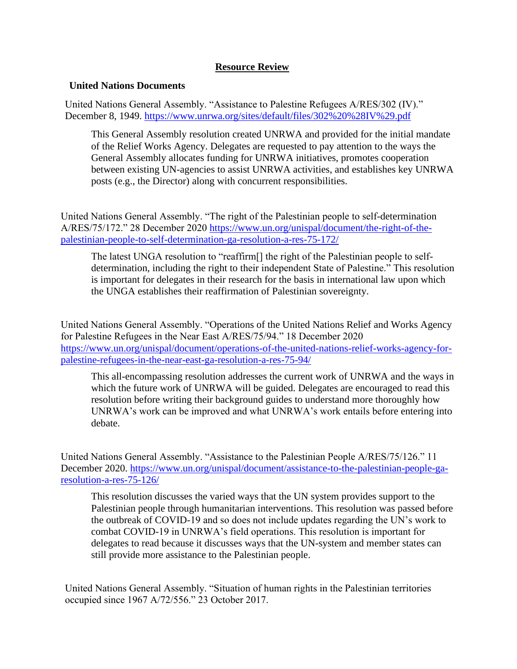## **Resource Review**

## **United Nations Documents**

United Nations General Assembly. "Assistance to Palestine Refugees A/RES/302 (IV)." December 8, 1949.<https://www.unrwa.org/sites/default/files/302%20%28IV%29.pdf>

This General Assembly resolution created UNRWA and provided for the initial mandate of the Relief Works Agency. Delegates are requested to pay attention to the ways the General Assembly allocates funding for UNRWA initiatives, promotes cooperation between existing UN-agencies to assist UNRWA activities, and establishes key UNRWA posts (e.g., the Director) along with concurrent responsibilities.

United Nations General Assembly. "The right of the Palestinian people to self-determination A/RES/75/172." 28 December 2020 [https://www.un.org/unispal/document/the-right-of-the](https://www.un.org/unispal/document/the-right-of-the-palestinian-people-to-self-determination-ga-resolution-a-res-75-172/)[palestinian-people-to-self-determination-ga-resolution-a-res-75-172/](https://www.un.org/unispal/document/the-right-of-the-palestinian-people-to-self-determination-ga-resolution-a-res-75-172/)

The latest UNGA resolution to "reaffirm[] the right of the Palestinian people to selfdetermination, including the right to their independent State of Palestine." This resolution is important for delegates in their research for the basis in international law upon which the UNGA establishes their reaffirmation of Palestinian sovereignty.

United Nations General Assembly. "Operations of the United Nations Relief and Works Agency for Palestine Refugees in the Near East A/RES/75/94." 18 December 2020 [https://www.un.org/unispal/document/operations-of-the-united-nations-relief-works-agency-for](https://www.un.org/unispal/document/operations-of-the-united-nations-relief-works-agency-for-palestine-refugees-in-the-near-east-ga-resolution-a-res-75-94/)[palestine-refugees-in-the-near-east-ga-resolution-a-res-75-94/](https://www.un.org/unispal/document/operations-of-the-united-nations-relief-works-agency-for-palestine-refugees-in-the-near-east-ga-resolution-a-res-75-94/)

This all-encompassing resolution addresses the current work of UNRWA and the ways in which the future work of UNRWA will be guided. Delegates are encouraged to read this resolution before writing their background guides to understand more thoroughly how UNRWA's work can be improved and what UNRWA's work entails before entering into debate.

United Nations General Assembly. "Assistance to the Palestinian People A/RES/75/126." 11 December 2020. [https://www.un.org/unispal/document/assistance-to-the-palestinian-people-ga](https://www.un.org/unispal/document/assistance-to-the-palestinian-people-ga-resolution-a-res-75-126/)[resolution-a-res-75-126/](https://www.un.org/unispal/document/assistance-to-the-palestinian-people-ga-resolution-a-res-75-126/)

This resolution discusses the varied ways that the UN system provides support to the Palestinian people through humanitarian interventions. This resolution was passed before the outbreak of COVID-19 and so does not include updates regarding the UN's work to combat COVID-19 in UNRWA's field operations. This resolution is important for delegates to read because it discusses ways that the UN-system and member states can still provide more assistance to the Palestinian people.

United Nations General Assembly. "Situation of human rights in the Palestinian territories occupied since 1967 A/72/556." 23 October 2017.